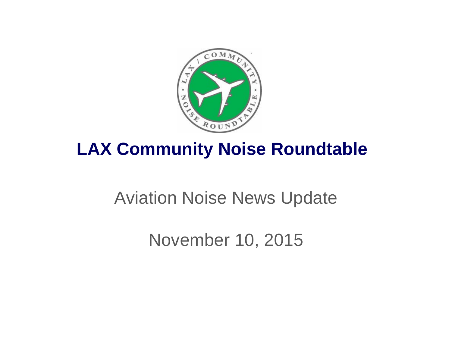

# **LAX Community Noise Roundtable**

# Aviation Noise News Update

November 10, 2015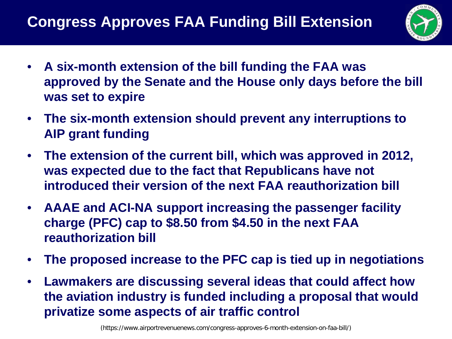

- **A six-month extension of the bill funding the FAA was approved by the Senate and the House only days before the bill was set to expire**
- **The six-month extension should prevent any interruptions to AIP grant funding**
- **The extension of the current bill, which was approved in 2012, was expected due to the fact that Republicans have not introduced their version of the next FAA reauthorization bill**
- **AAAE and ACI-NA support increasing the passenger facility charge (PFC) cap to \$8.50 from \$4.50 in the next FAA reauthorization bill**
- **The proposed increase to the PFC cap is tied up in negotiations**
- **Lawmakers are discussing several ideas that could affect how the aviation industry is funded including a proposal that would privatize some aspects of air traffic control**

(https://www.airportrevenuenews.com/congress-approves-6-month-extension-on-faa-bill/)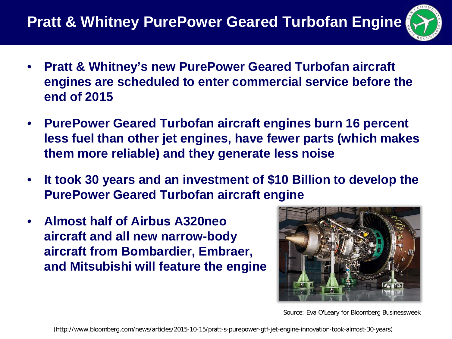## **Pratt & Whitney PurePower Geared Turbofan Engine**

- 
- **Pratt & Whitney's new PurePower Geared Turbofan aircraft engines are scheduled to enter commercial service before the end of 2015**
- **PurePower Geared Turbofan aircraft engines burn 16 percent less fuel than other jet engines, have fewer parts (which makes them more reliable) and they generate less noise**
- **It took 30 years and an investment of \$10 Billion to develop the PurePower Geared Turbofan aircraft engine**
- **Almost half of Airbus A320neo aircraft and all new narrow-body aircraft from Bombardier, Embraer, and Mitsubishi will feature the engine**



Source: Eva O'Leary for Bloomberg Businessweek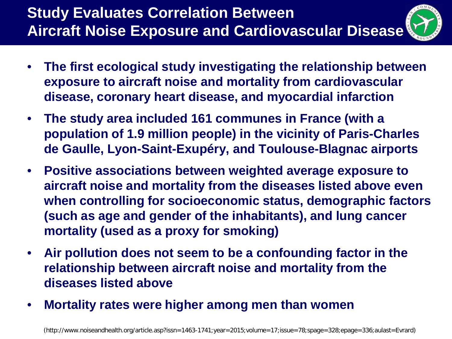### **Study Evaluates Correlation Between Aircraft Noise Exposure and Cardiovascular Disease**

- 
- **The first ecological study investigating the relationship between exposure to aircraft noise and mortality from cardiovascular disease, coronary heart disease, and myocardial infarction**
- **The study area included 161 communes in France (with a population of 1.9 million people) in the vicinity of Paris-Charles de Gaulle, Lyon-Saint-Exupéry, and Toulouse-Blagnac airports**
- **Positive associations between weighted average exposure to aircraft noise and mortality from the diseases listed above even when controlling for socioeconomic status, demographic factors (such as age and gender of the inhabitants), and lung cancer mortality (used as a proxy for smoking)**
- **Air pollution does not seem to be a confounding factor in the relationship between aircraft noise and mortality from the diseases listed above**
- **Mortality rates were higher among men than women**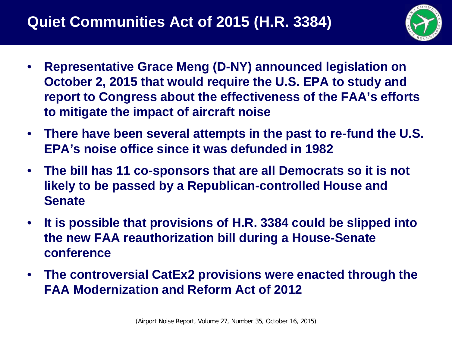

- **Representative Grace Meng (D-NY) announced legislation on October 2, 2015 that would require the U.S. EPA to study and report to Congress about the effectiveness of the FAA's efforts to mitigate the impact of aircraft noise**
- **There have been several attempts in the past to re-fund the U.S. EPA's noise office since it was defunded in 1982**
- **The bill has 11 co-sponsors that are all Democrats so it is not likely to be passed by a Republican-controlled House and Senate**
- **It is possible that provisions of H.R. 3384 could be slipped into the new FAA reauthorization bill during a House-Senate conference**
- **The controversial CatEx2 provisions were enacted through the FAA Modernization and Reform Act of 2012**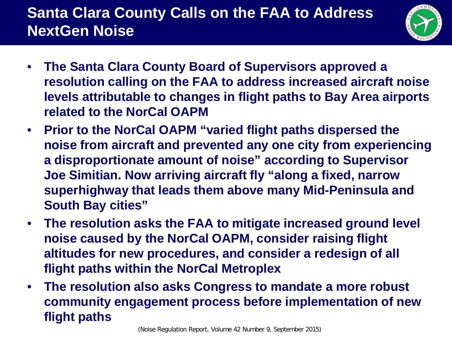## **Santa Clara County Calls on the FAA to Address NextGen Noise**



- **The Santa Clara County Board of Supervisors approved a resolution calling on the FAA to address increased aircraft noise levels attributable to changes in flight paths to Bay Area airports related to the NorCal OAPM**
- **Prior to the NorCal OAPM "varied flight paths dispersed the noise from aircraft and prevented any one city from experiencing a disproportionate amount of noise" according to Supervisor Joe Simitian. Now arriving aircraft fly "along a fixed, narrow superhighway that leads them above many Mid-Peninsula and South Bay cities"**
- **The resolution asks the FAA to mitigate increased ground level noise caused by the NorCal OAPM, consider raising flight altitudes for new procedures, and consider a redesign of all flight paths within the NorCal Metroplex**
- **The resolution also asks Congress to mandate a more robust community engagement process before implementation of new flight paths**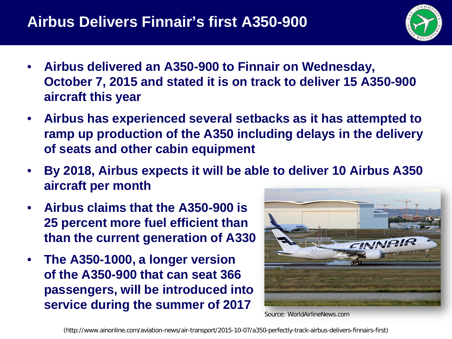

- **Airbus delivered an A350-900 to Finnair on Wednesday, October 7, 2015 and stated it is on track to deliver 15 A350-900 aircraft this year**
- **Airbus has experienced several setbacks as it has attempted to ramp up production of the A350 including delays in the delivery of seats and other cabin equipment**
- **By 2018, Airbus expects it will be able to deliver 10 Airbus A350 aircraft per month**
- **Airbus claims that the A350-900 is 25 percent more fuel efficient than than the current generation of A330**
- **The A350-1000, a longer version of the A350-900 that can seat 366 passengers, will be introduced into service during the summer of 2017**



Source: WorldAirlineNews.com